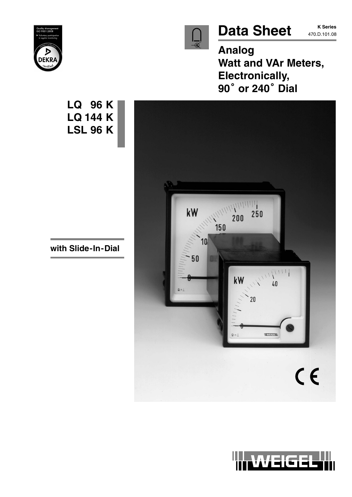

# Data Sheet **470.D.101.08**

**K Series**

**Analog Watt and VAr Meters, Electronically, <sup>90</sup> or 240 Dial**





**with Slide-In-Dial**

**LQ 96 K**

**LQ 144 K**

**LSL 96 K**

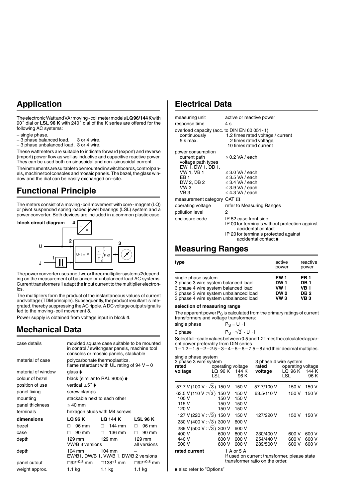## **Application**

The electronic Watt and VArmoving - coil meter models **LQ 96/144 K** with<br>90° dial or **LSL 96 K** with 240° dial of the K series are offered for the following AC systems:

- single phase,
- 3 phase balanced load, 3 or 4 wire,
- 3 phase unbalanced load, 3 or 4 wire.

These wattmeters are suitable to indicate forward (export) and reverse (import) power flow as well as inductive and capacitive reactive power. They can be used both on sinusoidal and non–sinusoidal current.

The instruments are suitable to be mounted in switchboards, control panels, machine tool consoles and mosaic panels. The bezel, the glass window and the dial can be easily exchanged on–site.

## **Functional Principle**

The meters consist of a moving-coil movement with core-magnet (LQ) or pivot suspended spring loaded jewel bearings (LSL) system and a



The power converter uses one, two or three multiplier systems **2** depending on the measurement of balanced or unbalanced load AC systems. Current transformers **1** adapt the input current to the multiplier electronics.

The multipliers form the product of the instantaneous values of current and voltage (TDM principle). Subsequently, the product resultant is integrated, thereby suppressing the AC ripple. A DC voltage output signal is fed to the moving-coil movement **3**.

Power supply is obtained from voltage input in block **4**.

## **Mechanical Data**

| case details       |                                                   | moulded square case suitable to be mounted<br>in control / switchgear panels, machine tool<br>consoles or mosaic panels, stackable |                              |
|--------------------|---------------------------------------------------|------------------------------------------------------------------------------------------------------------------------------------|------------------------------|
| material of case   | polycarbonate thermoplastics,                     | flame retardant with UL rating of 94 $V - 0$                                                                                       |                              |
| material of window | glass <b>▶</b>                                    |                                                                                                                                    |                              |
| colour of bezel    | black (similar to RAL 9005) $\blacktriangleright$ |                                                                                                                                    |                              |
| position of use    | vertical $\pm 5^{\circ}$ $\bullet$                |                                                                                                                                    |                              |
| panel fixing       | screw clamps                                      |                                                                                                                                    |                              |
| mounting           | stackable next to each other                      |                                                                                                                                    |                              |
| panel thickness    | $\leq 40$ mm                                      |                                                                                                                                    |                              |
| terminals          | hexagon studs with M4 screws                      |                                                                                                                                    |                              |
| dimensions         | LQ 96 K                                           | LQ 144 K                                                                                                                           | <b>LSL 96 K</b>              |
| bezel              | 96 mm                                             | 144 mm<br>П.                                                                                                                       | 96 mm<br>П.                  |
| case               | 90 mm                                             | 136 mm<br>П.                                                                                                                       | 90 mm<br>п                   |
| depth              | 129 mm<br>VW/B 3 versions                         | 129 mm                                                                                                                             | 129 mm<br>all versions       |
| depth              | 104 mm                                            | $104 \text{ mm}$<br>EW/B1, DW/B 1, VW/B 1, DW/B 2 versions                                                                         |                              |
| panel cutout       | □92 <sup>+0.8</sup> mm  □138 <sup>+1</sup> mm     |                                                                                                                                    | $\Box$ 92 <sup>+0.8</sup> mm |
| weight approx.     | 1.1 kg                                            | 1.1 <sub>kg</sub>                                                                                                                  | 1.1 kg                       |

## **Electrical Data**

| measuring unit                                                              | active or reactive power                                                                                                                                       |
|-----------------------------------------------------------------------------|----------------------------------------------------------------------------------------------------------------------------------------------------------------|
| response time                                                               | 4 s                                                                                                                                                            |
| overload capacity (acc. to DIN EN 60 051 - 1)<br>continuously<br>$5 s$ max. | 1.2 times rated voltage / current<br>2 times rated voltage,                                                                                                    |
|                                                                             | 10 times rated current                                                                                                                                         |
| power consumption                                                           |                                                                                                                                                                |
| current path                                                                | $\leq$ 0.2 VA / each                                                                                                                                           |
| voltage path types                                                          |                                                                                                                                                                |
| EW 1, DW 1, DB 1,                                                           |                                                                                                                                                                |
| <b>VW 1, VB 1</b>                                                           | $\leq$ 3.0 VA / each                                                                                                                                           |
| FB <sub>1</sub>                                                             | $\leq$ 3.5 VA / each                                                                                                                                           |
| DW 2, DB 2                                                                  | ≤ 3.4 VA / each                                                                                                                                                |
| VW <sub>3</sub>                                                             | $\leq$ 3.9 VA / each                                                                                                                                           |
| VB 3                                                                        | $\leq$ 4.3 VA / each                                                                                                                                           |
| measurement category CAT III                                                |                                                                                                                                                                |
| operating voltage                                                           | refer to Measuring Ranges                                                                                                                                      |
| pollution level                                                             | 2                                                                                                                                                              |
| enclosure code                                                              | IP 52 case front side<br>IP 00 for terminals without protection against<br>accidental contact<br>IP 20 for terminals protected against<br>accidental contact ♦ |
|                                                                             |                                                                                                                                                                |

## **Measuring Ranges**

| type                                  | active<br>power | reactive<br>power |
|---------------------------------------|-----------------|-------------------|
| single phase system                   | EW 1            | EB 1              |
| 3 phase 3 wire system balanced load   | <b>DW1</b>      | <b>DB1</b>        |
| 3 phase 4 wire system balanced load   | <b>VW1</b>      | <b>VB1</b>        |
| 3 phase 3 wire system unbalanced load | <b>DW2</b>      | DB <sub>2</sub>   |
| 3 phase 4 wire system unbalanced load | $vw_3$          | VB <sub>3</sub>   |

### **selection of measuring range**

The apparent power  $P_S$  is calculated from the primary ratings of current transformers and voltage transformers:

| single phase | $P_S = U \cdot I$                |
|--------------|----------------------------------|
| 3 phase      | $P_S = \sqrt{3} \cdot U \cdot I$ |

Select full–scale values between 0.5 and 1.2 times the calculated apparent power preferably from DIN series

 $1 - 1.2 - 1.5 - 2 - 2.5 - 3 - 4 - 5 - 6 - 7.5 - 8$  and their decimal multiples.

| single phase system<br>3 phase 3 wire system<br>rated<br>voltage | operating voltage<br>$LQ$ 96 K<br>LSL | 144 K<br>96 K | 3 phase 4 wire system<br>rated<br>voltage    | operating voltage<br>LQ 96 K<br><b>LSL</b> | 144 K<br>96 K |
|------------------------------------------------------------------|---------------------------------------|---------------|----------------------------------------------|--------------------------------------------|---------------|
|                                                                  |                                       |               |                                              |                                            |               |
| 57.7 V (100 V : √3) 150 V                                        |                                       | 150 V         | 57.7/100 V                                   | 150 V                                      | 150 V         |
| 63.5 V (110 V : $\sqrt{3}$ ) 150 V                               |                                       | 150 V         | 63.5/110 V                                   | 150 V                                      | 150 V         |
| 100 V                                                            | 150 V                                 | 150 V         |                                              |                                            |               |
| 115 V                                                            | 150 V                                 | 150 V         |                                              |                                            |               |
| 120 V                                                            | 150 V                                 | 150 V         |                                              |                                            |               |
| 127 V (220 V : √3) 150 V                                         |                                       | 150 V         | 127/220 V                                    | 150 V                                      | 150 V         |
| 230 V (400 V : √3) 300 V                                         |                                       | 600 V         |                                              |                                            |               |
| 289 V (500 V : √3) 300 V                                         |                                       | 600 V         |                                              |                                            |               |
| 400 V                                                            | 600 V                                 | 600 V         | 230/400 V                                    | 600 V                                      | 600 V         |
| 440 V                                                            | 600 V                                 | 600 V         | 254/440 V                                    | 600 V                                      | 600 V         |
| 500 V                                                            | 600 V                                 | 600 V         | 289/500 V                                    | 600 V                                      | 600 V         |
| rated current                                                    |                                       | 1 A or 5 A    |                                              |                                            |               |
|                                                                  |                                       |               | lf used on current transformer, please state |                                            |               |

If used on current transformer, please state transformer ratio on the order.

• also refer to "Options"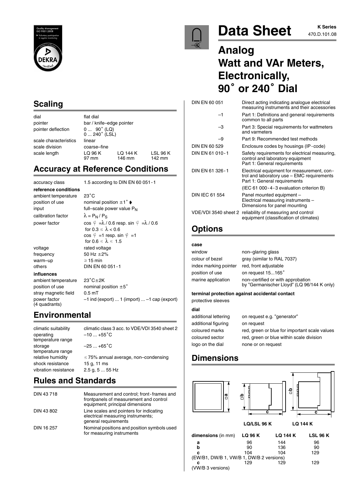

## **Scaling**

dial flat dial pointer deflection

pointer bar / knife–edge pointer  $0 ... 90^{\circ}$  (LQ)<br> $0 ... 240^{\circ}$  (LSL) scale characteristics linear scale division coarse–fine scale length  $LQ 96 K$   $LQ 144 K$   $LSL 96 K$ <br>97 mm  $146$  mm  $142$  mm 146 mm

## **Accuracy at Reference Conditions**

accuracy class 1.5 according to DIN EN 60 051-1 **reference conditions** ambient temperature 23°C position of use nominal position  $\pm 1^\circ \bullet$ input  $full$  scale power value  $P_N$ calibration factor  $\lambda = P_N / P_S$ 

warm-up  $\geq 15$  min

#### **influences**

ambient temperature  $23^{\circ}$ C $\pm$ 2K position of use nominal position  $\pm 5^{\circ}$ stray magnetic field 0.5 mT power factor –1 ind (export) ... 1 (import) ... –1 cap (export) (4 quadrants)

power factor cos  $\sqrt{\frac{2}{1}}$  =  $\lambda$  / 0.6 resp. sin  $\sqrt{\frac{2}{1}}$  =  $\lambda$  / 0.6 for  $0.3 \leq \lambda < 0.6$  $\cos \varphi = 1$  resp. sin  $\varphi =1$ for  $0.6 \leq \lambda \leq 1.5$ voltage rated voltage frequency  $50$  Hz  $\pm 2\%$ others DIN EN 60 051-1

# **Environmental**

climatic suitability climatic class 3 acc. to VDE/VDI 3540 sheet 2 operating  $-10 ... +55^{\circ}C$ temperature range storage  $-25...+65^{\circ}C$ temperature range relative humidity  $\leq 75\%$  annual average, non–condensing shock resistance 15 g, 11 ms vibration resistance 2.5 g, 5 ... 55 Hz

# **Rules and Standards**

| DIN 43718  | Measurement and control; front-frames and<br>frontpanels of measurement and control<br>equipment; principal dimensions |
|------------|------------------------------------------------------------------------------------------------------------------------|
| DIN 43 802 | Line scales and pointers for indicating<br>electrical measuring instruments;<br>general requirements                   |
| DIN 16 257 | Nominal positions and position symbols used<br>for measuring instruments                                               |



# Data Sheet **ATS ASSERIES**

# **Analog Watt and VAr Meters, Electronically, <sup>90</sup> or 240 Dial**

| DIN EN 60 051        | Direct acting indicating analogue electrical<br>measuring instruments and their accessories                              |
|----------------------|--------------------------------------------------------------------------------------------------------------------------|
| -1                   | Part 1: Definitions and general requirements<br>common to all parts                                                      |
| -3                   | Part 3: Special requirements for wattmeters<br>and varmeters                                                             |
| -9                   | Part 9: Recommended test methods                                                                                         |
| DIN EN 60 529        | Enclosure codes by housings (IP-code)                                                                                    |
| DIN EN 61 010-1      | Safety requirements for electrical measuring,<br>control and laboratory equipment<br>Part 1: General requirements        |
| DIN EN 61 326-1      | Electrical equipment for measurement, con-<br>trol and laboratory use - EMC requirements<br>Part 1: General requirements |
|                      | (IEC 61 000-4-3 evaluation criterion B)                                                                                  |
| DIN IEC 61 554       | Panel mounted equipment -<br>Electrical measuring instruments -<br>Dimensions for panel mounting                         |
| VDE/VDI 3540 sheet 2 | reliability of measuring and control<br>equipment (classification of climates)                                           |

# **Options**

### $c<sub>i</sub>$

| uasc                  |                                                                                 |
|-----------------------|---------------------------------------------------------------------------------|
| window                | non-glaring glass                                                               |
| colour of bezel       | gray (similar to RAL 7037)                                                      |
| index marking pointer | red, front adjustable                                                           |
| position of use       | on request 15165°                                                               |
| marine application    | non-certified or with approbation<br>by "Germanischer Lloyd" (LQ 96/144 K only) |
|                       |                                                                                 |

### **terminal protection against accidental contact**

protective sleeves

### **dial** additio

| additional lettering | on request e.g. "generator"                   |
|----------------------|-----------------------------------------------|
| additional figuring  | on request                                    |
| coloured marks       | red, green or blue for important scale values |
| coloured sector      | red, green or blue within scale division      |
| logo on the dial     | none or on request                            |

## **Dimensions**